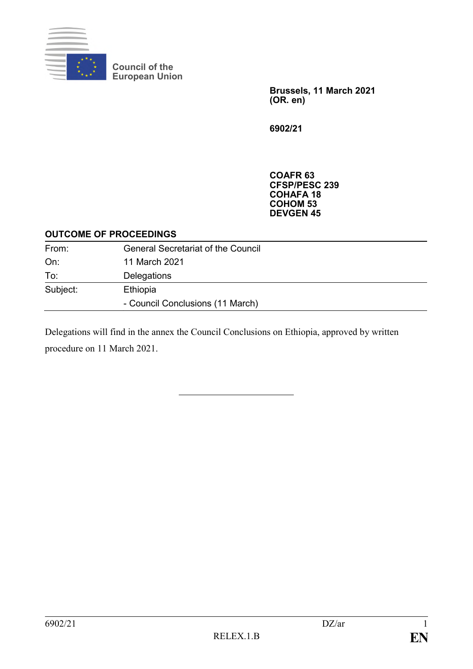

**Council of the European Union**

> **Brussels, 11 March 2021 (OR. en)**

**6902/21**

**COAFR 63 CFSP/PESC 239 COHAFA 18 COHOM 53 DEVGEN 45**

### **OUTCOME OF PROCEEDINGS**

| From:    | <b>General Secretariat of the Council</b> |
|----------|-------------------------------------------|
| On:      | 11 March 2021                             |
| To:      | Delegations                               |
| Subject: | Ethiopia                                  |
|          | - Council Conclusions (11 March)          |

Delegations will find in the annex the Council Conclusions on Ethiopia, approved by written procedure on 11 March 2021.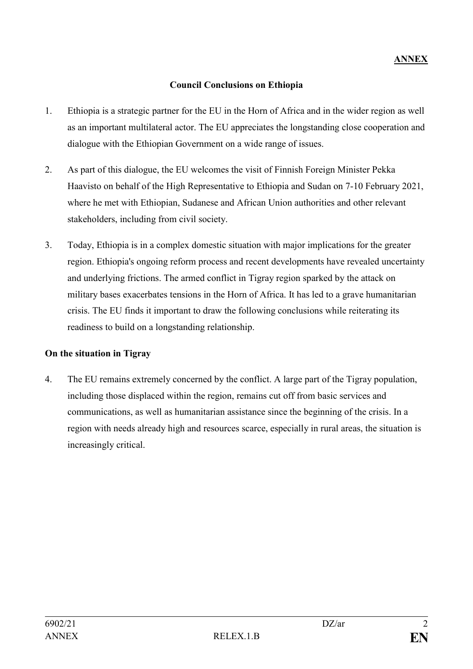## **Council Conclusions on Ethiopia**

- 1. Ethiopia is a strategic partner for the EU in the Horn of Africa and in the wider region as well as an important multilateral actor. The EU appreciates the longstanding close cooperation and dialogue with the Ethiopian Government on a wide range of issues.
- 2. As part of this dialogue, the EU welcomes the visit of Finnish Foreign Minister Pekka Haavisto on behalf of the High Representative to Ethiopia and Sudan on 7-10 February 2021, where he met with Ethiopian, Sudanese and African Union authorities and other relevant stakeholders, including from civil society.
- 3. Today, Ethiopia is in a complex domestic situation with major implications for the greater region. Ethiopia's ongoing reform process and recent developments have revealed uncertainty and underlying frictions. The armed conflict in Tigray region sparked by the attack on military bases exacerbates tensions in the Horn of Africa. It has led to a grave humanitarian crisis. The EU finds it important to draw the following conclusions while reiterating its readiness to build on a longstanding relationship.

## **On the situation in Tigray**

4. The EU remains extremely concerned by the conflict. A large part of the Tigray population, including those displaced within the region, remains cut off from basic services and communications, as well as humanitarian assistance since the beginning of the crisis. In a region with needs already high and resources scarce, especially in rural areas, the situation is increasingly critical.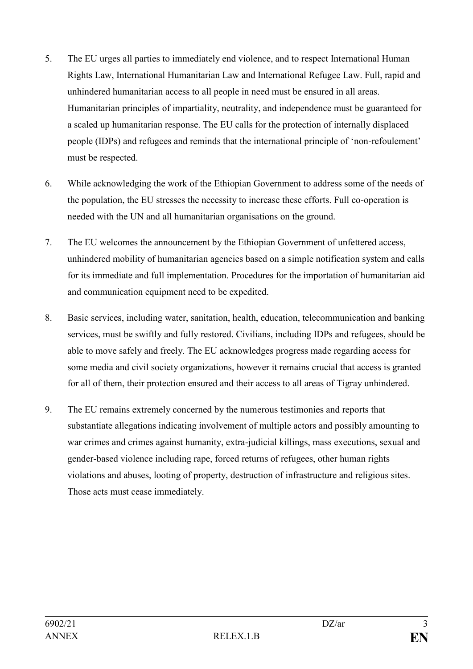- 5. The EU urges all parties to immediately end violence, and to respect International Human Rights Law, International Humanitarian Law and International Refugee Law. Full, rapid and unhindered humanitarian access to all people in need must be ensured in all areas. Humanitarian principles of impartiality, neutrality, and independence must be guaranteed for a scaled up humanitarian response. The EU calls for the protection of internally displaced people (IDPs) and refugees and reminds that the international principle of 'non-refoulement' must be respected.
- 6. While acknowledging the work of the Ethiopian Government to address some of the needs of the population, the EU stresses the necessity to increase these efforts. Full co-operation is needed with the UN and all humanitarian organisations on the ground.
- 7. The EU welcomes the announcement by the Ethiopian Government of unfettered access, unhindered mobility of humanitarian agencies based on a simple notification system and calls for its immediate and full implementation. Procedures for the importation of humanitarian aid and communication equipment need to be expedited.
- 8. Basic services, including water, sanitation, health, education, telecommunication and banking services, must be swiftly and fully restored. Civilians, including IDPs and refugees, should be able to move safely and freely. The EU acknowledges progress made regarding access for some media and civil society organizations, however it remains crucial that access is granted for all of them, their protection ensured and their access to all areas of Tigray unhindered.
- 9. The EU remains extremely concerned by the numerous testimonies and reports that substantiate allegations indicating involvement of multiple actors and possibly amounting to war crimes and crimes against humanity, extra-judicial killings, mass executions, sexual and gender-based violence including rape, forced returns of refugees, other human rights violations and abuses, looting of property, destruction of infrastructure and religious sites. Those acts must cease immediately.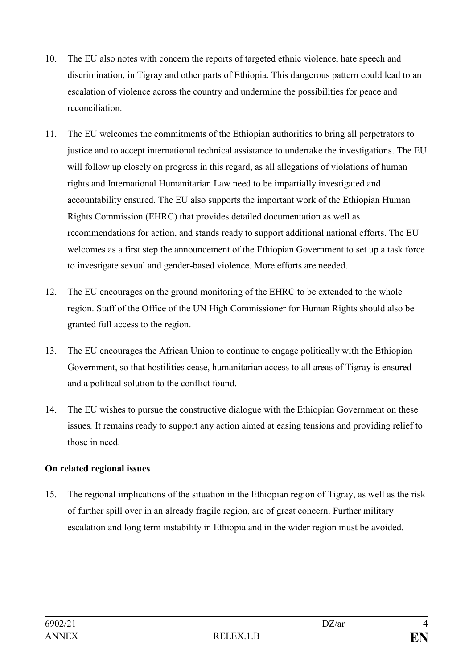- 10. The EU also notes with concern the reports of targeted ethnic violence, hate speech and discrimination, in Tigray and other parts of Ethiopia. This dangerous pattern could lead to an escalation of violence across the country and undermine the possibilities for peace and reconciliation.
- 11. The EU welcomes the commitments of the Ethiopian authorities to bring all perpetrators to justice and to accept international technical assistance to undertake the investigations. The EU will follow up closely on progress in this regard, as all allegations of violations of human rights and International Humanitarian Law need to be impartially investigated and accountability ensured. The EU also supports the important work of the Ethiopian Human Rights Commission (EHRC) that provides detailed documentation as well as recommendations for action, and stands ready to support additional national efforts. The EU welcomes as a first step the announcement of the Ethiopian Government to set up a task force to investigate sexual and gender-based violence. More efforts are needed.
- 12. The EU encourages on the ground monitoring of the EHRC to be extended to the whole region. Staff of the Office of the UN High Commissioner for Human Rights should also be granted full access to the region.
- 13. The EU encourages the African Union to continue to engage politically with the Ethiopian Government, so that hostilities cease, humanitarian access to all areas of Tigray is ensured and a political solution to the conflict found.
- 14. The EU wishes to pursue the constructive dialogue with the Ethiopian Government on these issues*.* It remains ready to support any action aimed at easing tensions and providing relief to those in need.

# **On related regional issues**

15. The regional implications of the situation in the Ethiopian region of Tigray, as well as the risk of further spill over in an already fragile region, are of great concern. Further military escalation and long term instability in Ethiopia and in the wider region must be avoided.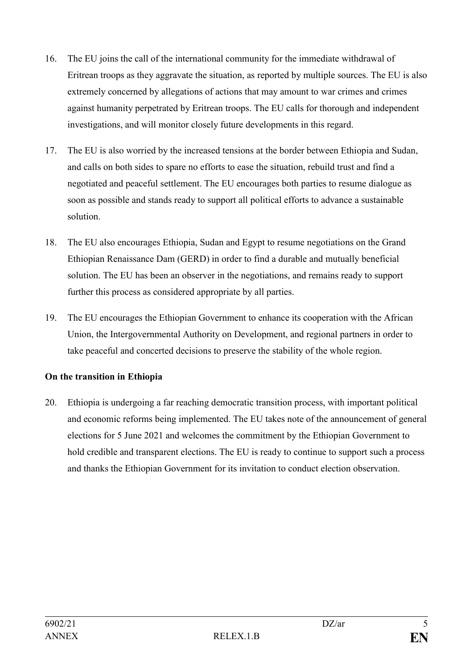- 16. The EU joins the call of the international community for the immediate withdrawal of Eritrean troops as they aggravate the situation, as reported by multiple sources. The EU is also extremely concerned by allegations of actions that may amount to war crimes and crimes against humanity perpetrated by Eritrean troops. The EU calls for thorough and independent investigations, and will monitor closely future developments in this regard.
- 17. The EU is also worried by the increased tensions at the border between Ethiopia and Sudan, and calls on both sides to spare no efforts to ease the situation, rebuild trust and find a negotiated and peaceful settlement. The EU encourages both parties to resume dialogue as soon as possible and stands ready to support all political efforts to advance a sustainable solution.
- 18. The EU also encourages Ethiopia, Sudan and Egypt to resume negotiations on the Grand Ethiopian Renaissance Dam (GERD) in order to find a durable and mutually beneficial solution. The EU has been an observer in the negotiations, and remains ready to support further this process as considered appropriate by all parties.
- 19. The EU encourages the Ethiopian Government to enhance its cooperation with the African Union, the Intergovernmental Authority on Development, and regional partners in order to take peaceful and concerted decisions to preserve the stability of the whole region.

## **On the transition in Ethiopia**

20. Ethiopia is undergoing a far reaching democratic transition process, with important political and economic reforms being implemented. The EU takes note of the announcement of general elections for 5 June 2021 and welcomes the commitment by the Ethiopian Government to hold credible and transparent elections. The EU is ready to continue to support such a process and thanks the Ethiopian Government for its invitation to conduct election observation.